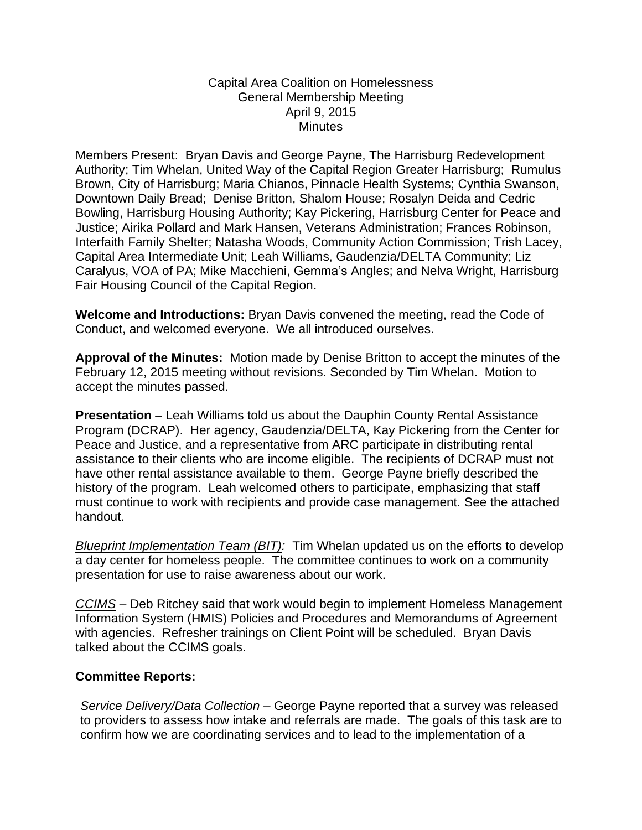## Capital Area Coalition on Homelessness General Membership Meeting April 9, 2015 **Minutes**

Members Present: Bryan Davis and George Payne, The Harrisburg Redevelopment Authority; Tim Whelan, United Way of the Capital Region Greater Harrisburg; Rumulus Brown, City of Harrisburg; Maria Chianos, Pinnacle Health Systems; Cynthia Swanson, Downtown Daily Bread; Denise Britton, Shalom House; Rosalyn Deida and Cedric Bowling, Harrisburg Housing Authority; Kay Pickering, Harrisburg Center for Peace and Justice; Airika Pollard and Mark Hansen, Veterans Administration; Frances Robinson, Interfaith Family Shelter; Natasha Woods, Community Action Commission; Trish Lacey, Capital Area Intermediate Unit; Leah Williams, Gaudenzia/DELTA Community; Liz Caralyus, VOA of PA; Mike Macchieni, Gemma's Angles; and Nelva Wright, Harrisburg Fair Housing Council of the Capital Region.

**Welcome and Introductions:** Bryan Davis convened the meeting, read the Code of Conduct, and welcomed everyone. We all introduced ourselves.

**Approval of the Minutes:** Motion made by Denise Britton to accept the minutes of the February 12, 2015 meeting without revisions. Seconded by Tim Whelan. Motion to accept the minutes passed.

**Presentation** – Leah Williams told us about the Dauphin County Rental Assistance Program (DCRAP). Her agency, Gaudenzia/DELTA, Kay Pickering from the Center for Peace and Justice, and a representative from ARC participate in distributing rental assistance to their clients who are income eligible. The recipients of DCRAP must not have other rental assistance available to them. George Payne briefly described the history of the program. Leah welcomed others to participate, emphasizing that staff must continue to work with recipients and provide case management. See the attached handout.

*Blueprint Implementation Team (BIT):* Tim Whelan updated us on the efforts to develop a day center for homeless people. The committee continues to work on a community presentation for use to raise awareness about our work.

*CCIMS* – Deb Ritchey said that work would begin to implement Homeless Management Information System (HMIS) Policies and Procedures and Memorandums of Agreement with agencies. Refresher trainings on Client Point will be scheduled. Bryan Davis talked about the CCIMS goals.

## **Committee Reports:**

*Service Delivery/Data Collection –* George Payne reported that a survey was released to providers to assess how intake and referrals are made. The goals of this task are to confirm how we are coordinating services and to lead to the implementation of a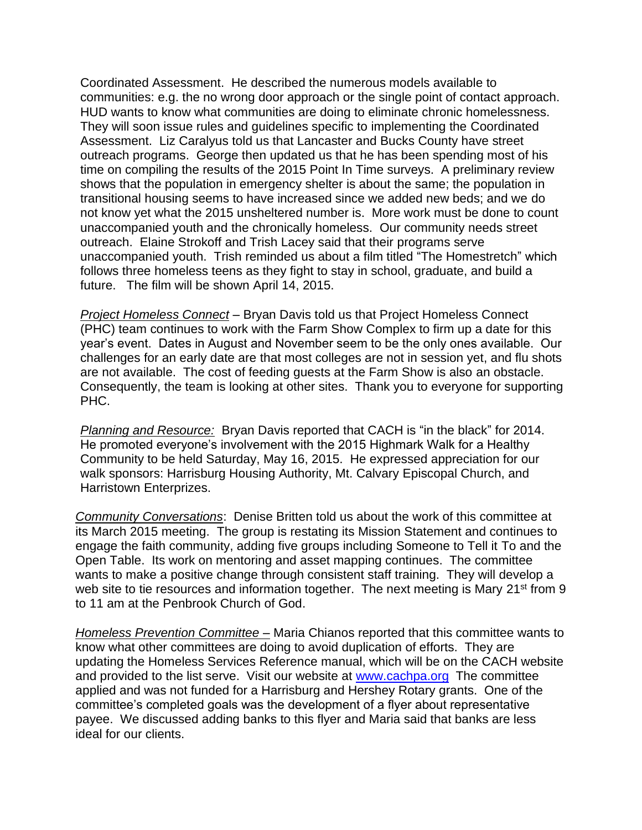Coordinated Assessment. He described the numerous models available to communities: e.g. the no wrong door approach or the single point of contact approach. HUD wants to know what communities are doing to eliminate chronic homelessness. They will soon issue rules and guidelines specific to implementing the Coordinated Assessment. Liz Caralyus told us that Lancaster and Bucks County have street outreach programs. George then updated us that he has been spending most of his time on compiling the results of the 2015 Point In Time surveys. A preliminary review shows that the population in emergency shelter is about the same; the population in transitional housing seems to have increased since we added new beds; and we do not know yet what the 2015 unsheltered number is. More work must be done to count unaccompanied youth and the chronically homeless. Our community needs street outreach. Elaine Strokoff and Trish Lacey said that their programs serve unaccompanied youth. Trish reminded us about a film titled "The Homestretch" which follows three homeless teens as they fight to stay in school, graduate, and build a future. The film will be shown April 14, 2015.

*Project Homeless Connect* – Bryan Davis told us that Project Homeless Connect (PHC) team continues to work with the Farm Show Complex to firm up a date for this year's event. Dates in August and November seem to be the only ones available. Our challenges for an early date are that most colleges are not in session yet, and flu shots are not available. The cost of feeding guests at the Farm Show is also an obstacle. Consequently, the team is looking at other sites. Thank you to everyone for supporting PHC.

*Planning and Resource:* Bryan Davis reported that CACH is "in the black" for 2014. He promoted everyone's involvement with the 2015 Highmark Walk for a Healthy Community to be held Saturday, May 16, 2015. He expressed appreciation for our walk sponsors: Harrisburg Housing Authority, Mt. Calvary Episcopal Church, and Harristown Enterprizes.

*Community Conversations*: Denise Britten told us about the work of this committee at its March 2015 meeting. The group is restating its Mission Statement and continues to engage the faith community, adding five groups including Someone to Tell it To and the Open Table. Its work on mentoring and asset mapping continues. The committee wants to make a positive change through consistent staff training. They will develop a web site to tie resources and information together. The next meeting is Mary 21<sup>st</sup> from 9 to 11 am at the Penbrook Church of God.

*Homeless Prevention Committee –* Maria Chianos reported that this committee wants to know what other committees are doing to avoid duplication of efforts. They are updating the Homeless Services Reference manual, which will be on the CACH website and provided to the list serve. Visit our website at [www.cachpa.org](http://www.cachpa.org/) The committee applied and was not funded for a Harrisburg and Hershey Rotary grants. One of the committee's completed goals was the development of a flyer about representative payee. We discussed adding banks to this flyer and Maria said that banks are less ideal for our clients.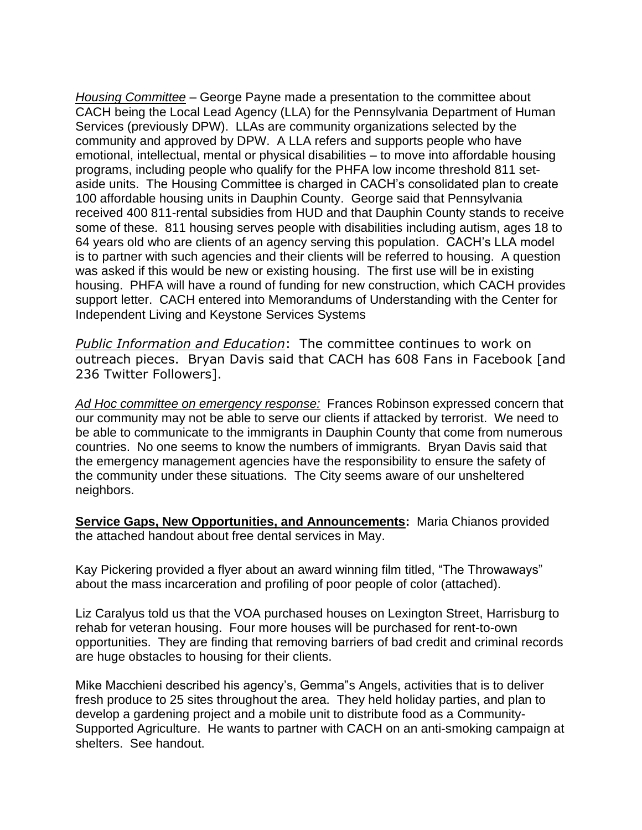*Housing Committee* – George Payne made a presentation to the committee about CACH being the Local Lead Agency (LLA) for the Pennsylvania Department of Human Services (previously DPW). LLAs are community organizations selected by the community and approved by DPW. A LLA refers and supports people who have emotional, intellectual, mental or physical disabilities – to move into affordable housing programs, including people who qualify for the PHFA low income threshold 811 setaside units. The Housing Committee is charged in CACH's consolidated plan to create 100 affordable housing units in Dauphin County. George said that Pennsylvania received 400 811-rental subsidies from HUD and that Dauphin County stands to receive some of these. 811 housing serves people with disabilities including autism, ages 18 to 64 years old who are clients of an agency serving this population. CACH's LLA model is to partner with such agencies and their clients will be referred to housing. A question was asked if this would be new or existing housing. The first use will be in existing housing. PHFA will have a round of funding for new construction, which CACH provides support letter. CACH entered into Memorandums of Understanding with the Center for Independent Living and Keystone Services Systems

*Public Information and Education*: The committee continues to work on outreach pieces. Bryan Davis said that CACH has 608 Fans in Facebook [and 236 Twitter Followers].

*Ad Hoc committee on emergency response:* Frances Robinson expressed concern that our community may not be able to serve our clients if attacked by terrorist. We need to be able to communicate to the immigrants in Dauphin County that come from numerous countries. No one seems to know the numbers of immigrants. Bryan Davis said that the emergency management agencies have the responsibility to ensure the safety of the community under these situations. The City seems aware of our unsheltered neighbors.

**Service Gaps, New Opportunities, and Announcements:** Maria Chianos provided the attached handout about free dental services in May.

Kay Pickering provided a flyer about an award winning film titled, "The Throwaways" about the mass incarceration and profiling of poor people of color (attached).

Liz Caralyus told us that the VOA purchased houses on Lexington Street, Harrisburg to rehab for veteran housing. Four more houses will be purchased for rent-to-own opportunities. They are finding that removing barriers of bad credit and criminal records are huge obstacles to housing for their clients.

Mike Macchieni described his agency's, Gemma"s Angels, activities that is to deliver fresh produce to 25 sites throughout the area. They held holiday parties, and plan to develop a gardening project and a mobile unit to distribute food as a Community-Supported Agriculture. He wants to partner with CACH on an anti-smoking campaign at shelters. See handout.